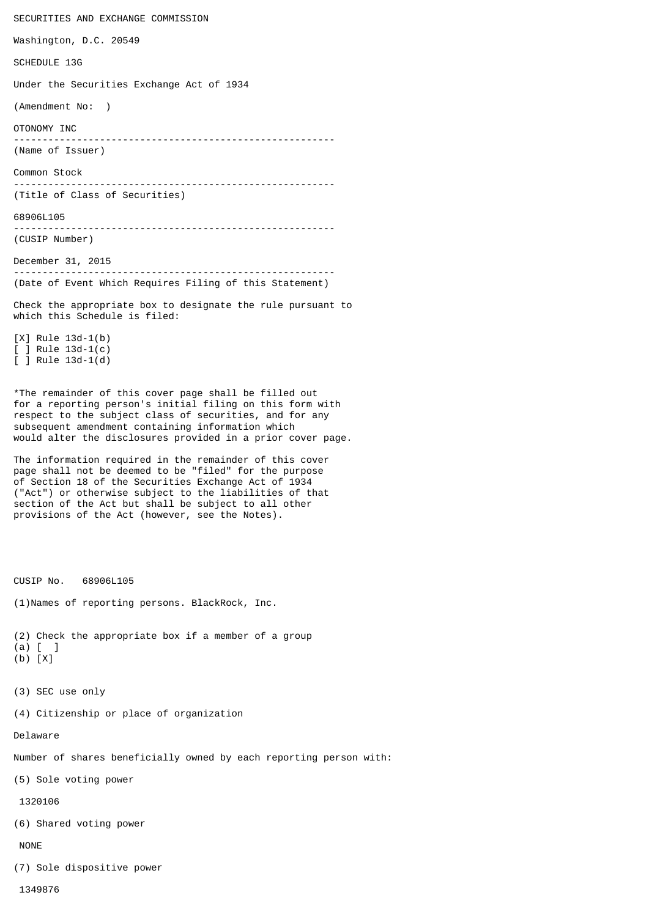SECURITIES AND EXCHANGE COMMISSION Washington, D.C. 20549 SCHEDULE 13G Under the Securities Exchange Act of 1934 (Amendment No: ) OTONOMY INC -------------------------------------------------------- (Name of Issuer) Common Stock -------------------------------------------------------- (Title of Class of Securities) 68906L105 -------------------------------------------------------- (CUSIP Number) December 31, 2015 -------------------------------------------------------- (Date of Event Which Requires Filing of this Statement) Check the appropriate box to designate the rule pursuant to which this Schedule is filed: [X] Rule 13d-1(b) [ ] Rule 13d-1(c) [ ] Rule 13d-1(d) \*The remainder of this cover page shall be filled out for a reporting person's initial filing on this form with respect to the subject class of securities, and for any subsequent amendment containing information which would alter the disclosures provided in a prior cover page. The information required in the remainder of this cover page shall not be deemed to be "filed" for the purpose of Section 18 of the Securities Exchange Act of 1934 ("Act") or otherwise subject to the liabilities of that section of the Act but shall be subject to all other provisions of the Act (however, see the Notes). CUSIP No. 68906L105 (1)Names of reporting persons. BlackRock, Inc.

(2) Check the appropriate box if a member of a group (a) [ ]

- (b) [X]
- (3) SEC use only

(4) Citizenship or place of organization

Delaware

Number of shares beneficially owned by each reporting person with:

(5) Sole voting power

1320106

(6) Shared voting power

NONE

(7) Sole dispositive power

1349876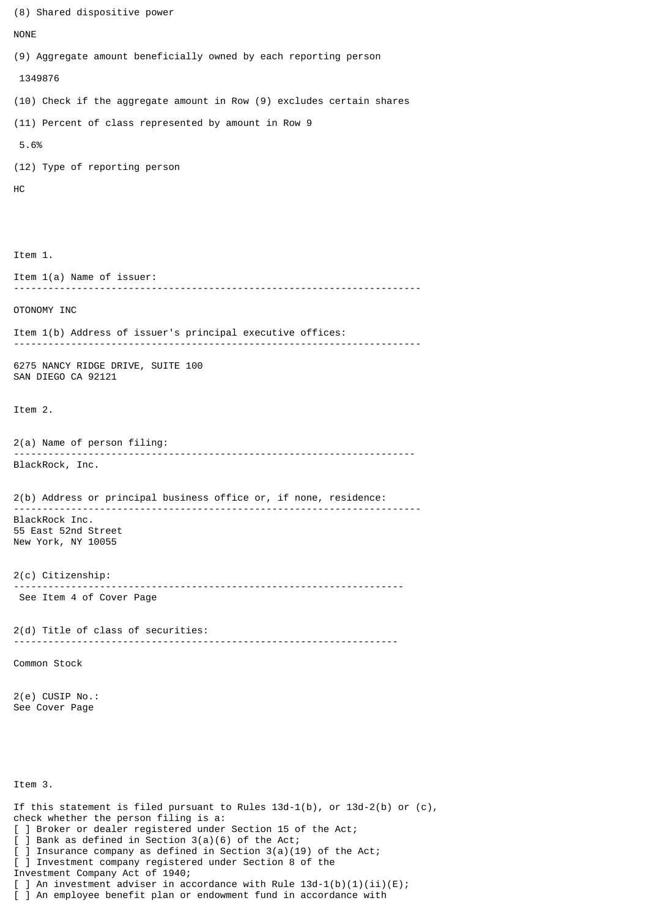(8) Shared dispositive power NONE (9) Aggregate amount beneficially owned by each reporting person 1349876 (10) Check if the aggregate amount in Row (9) excludes certain shares (11) Percent of class represented by amount in Row 9 5.6% (12) Type of reporting person HC Item 1. Item 1(a) Name of issuer: ----------------------------------------------------------------------- OTONOMY INC Item 1(b) Address of issuer's principal executive offices: ----------------------------------------------------------------------- 6275 NANCY RIDGE DRIVE, SUITE 100 SAN DIEGO CA 92121 Item 2. 2(a) Name of person filing: ---------------------------------------------------------------------- BlackRock, Inc. 2(b) Address or principal business office or, if none, residence: ----------------------------------------------------------------------- BlackRock Inc. 55 East 52nd Street New York, NY 10055 2(c) Citizenship: -------------------------------------------------------------------- See Item 4 of Cover Page 2(d) Title of class of securities: ------------------------------------------------------------------- Common Stock 2(e) CUSIP No.: See Cover Page Item 3. If this statement is filed pursuant to Rules  $13d-1(b)$ , or  $13d-2(b)$  or  $(c)$ , check whether the person filing is a: [ ] Broker or dealer registered under Section 15 of the Act; [ ] Bank as defined in Section 3(a)(6) of the Act;  $\begin{bmatrix} 1 \end{bmatrix}$  Insurance company as defined in Section 3(a)(19) of the Act; [ ] Investment company registered under Section 8 of the Investment Company Act of 1940; [ ] An investment adviser in accordance with Rule 13d-1(b)(1)(ii)(E); [ ] An employee benefit plan or endowment fund in accordance with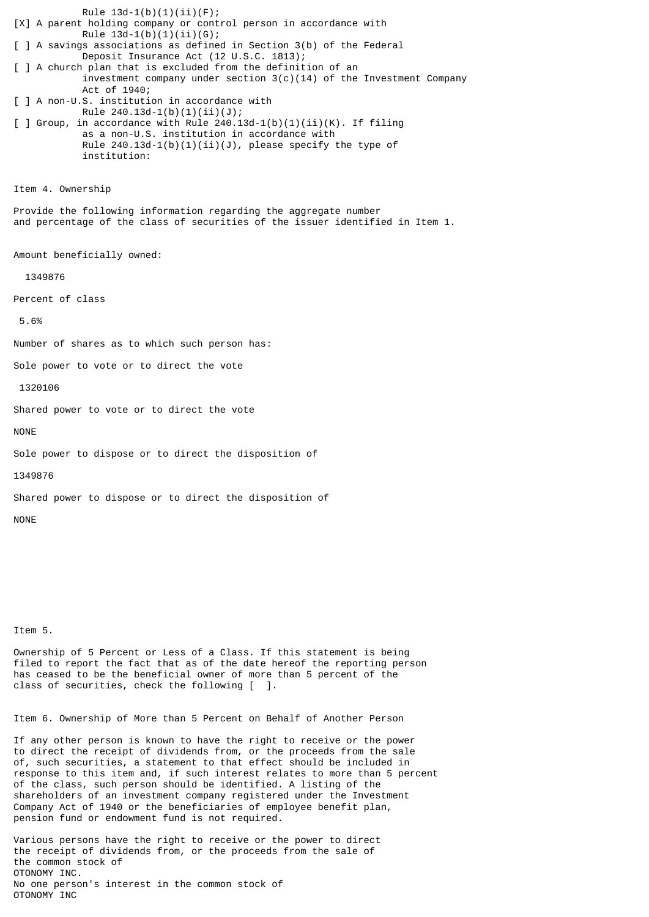Rule  $13d-1(b)(1)(ii)(F);$ [X] A parent holding company or control person in accordance with Rule  $13d-1(b)(1)(ii)(G);$ [ ] A savings associations as defined in Section 3(b) of the Federal Deposit Insurance Act (12 U.S.C. 1813); [ ] A church plan that is excluded from the definition of an investment company under section  $3(c)(14)$  of the Investment Company Act of 1940; [ ] A non-U.S. institution in accordance with Rule  $240.13d-1(b)(1)(ii)(J);$ [ ] Group, in accordance with Rule  $240.13d-1(b)(1)(ii)(K)$ . If filing as a non-U.S. institution in accordance with Rule  $240.13d-1(b)(1)(ii)(J)$ , please specify the type of institution: Item 4. Ownership Provide the following information regarding the aggregate number and percentage of the class of securities of the issuer identified in Item 1. Amount beneficially owned: 1349876 Percent of class 5.6% Number of shares as to which such person has: Sole power to vote or to direct the vote 1320106 Shared power to vote or to direct the vote NONE Sole power to dispose or to direct the disposition of 1349876 Shared power to dispose or to direct the disposition of

Item 5.

NONE

Ownership of 5 Percent or Less of a Class. If this statement is being filed to report the fact that as of the date hereof the reporting person has ceased to be the beneficial owner of more than 5 percent of the class of securities, check the following [ ].

Item 6. Ownership of More than 5 Percent on Behalf of Another Person

If any other person is known to have the right to receive or the power to direct the receipt of dividends from, or the proceeds from the sale of, such securities, a statement to that effect should be included in response to this item and, if such interest relates to more than 5 percent of the class, such person should be identified. A listing of the shareholders of an investment company registered under the Investment Company Act of 1940 or the beneficiaries of employee benefit plan, pension fund or endowment fund is not required.

Various persons have the right to receive or the power to direct the receipt of dividends from, or the proceeds from the sale of the common stock of OTONOMY INC. No one person's interest in the common stock of OTONOMY INC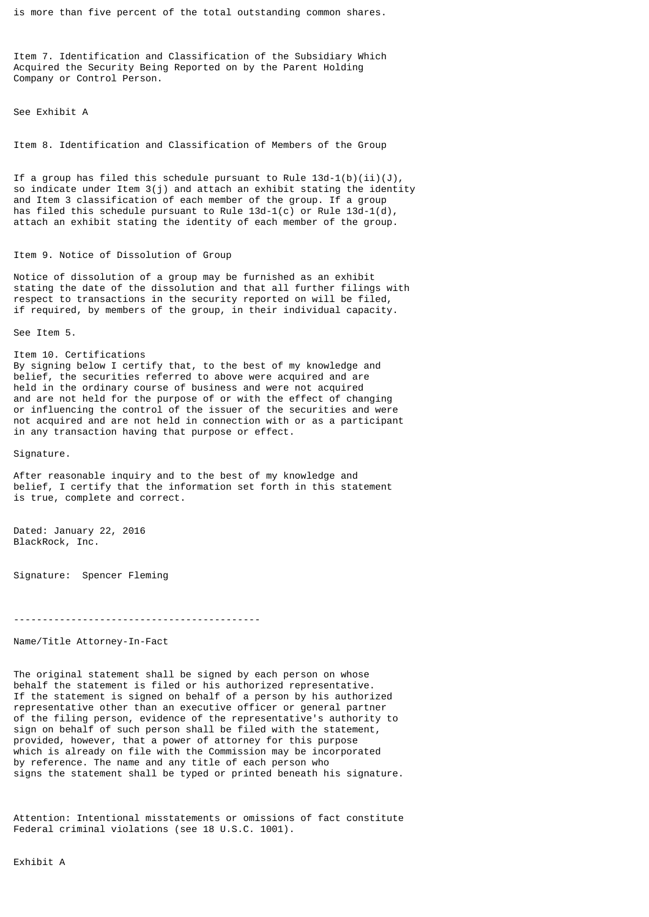is more than five percent of the total outstanding common shares.

Item 7. Identification and Classification of the Subsidiary Which Acquired the Security Being Reported on by the Parent Holding Company or Control Person.

See Exhibit A

Item 8. Identification and Classification of Members of the Group

If a group has filed this schedule pursuant to Rule  $13d-1(b)(ii)(J)$ , so indicate under Item 3(j) and attach an exhibit stating the identity and Item 3 classification of each member of the group. If a group has filed this schedule pursuant to Rule 13d-1(c) or Rule 13d-1(d), attach an exhibit stating the identity of each member of the group.

## Item 9. Notice of Dissolution of Group

Notice of dissolution of a group may be furnished as an exhibit stating the date of the dissolution and that all further filings with respect to transactions in the security reported on will be filed, if required, by members of the group, in their individual capacity.

See Item 5.

Item 10. Certifications By signing below I certify that, to the best of my knowledge and belief, the securities referred to above were acquired and are held in the ordinary course of business and were not acquired and are not held for the purpose of or with the effect of changing or influencing the control of the issuer of the securities and were not acquired and are not held in connection with or as a participant in any transaction having that purpose or effect.

Signature.

After reasonable inquiry and to the best of my knowledge and belief, I certify that the information set forth in this statement is true, complete and correct.

Dated: January 22, 2016 BlackRock, Inc.

Signature: Spencer Fleming

-------------------------------------------

Name/Title Attorney-In-Fact

The original statement shall be signed by each person on whose behalf the statement is filed or his authorized representative. If the statement is signed on behalf of a person by his authorized representative other than an executive officer or general partner of the filing person, evidence of the representative's authority to sign on behalf of such person shall be filed with the statement, provided, however, that a power of attorney for this purpose which is already on file with the Commission may be incorporated by reference. The name and any title of each person who signs the statement shall be typed or printed beneath his signature.

Attention: Intentional misstatements or omissions of fact constitute Federal criminal violations (see 18 U.S.C. 1001).

Exhibit A